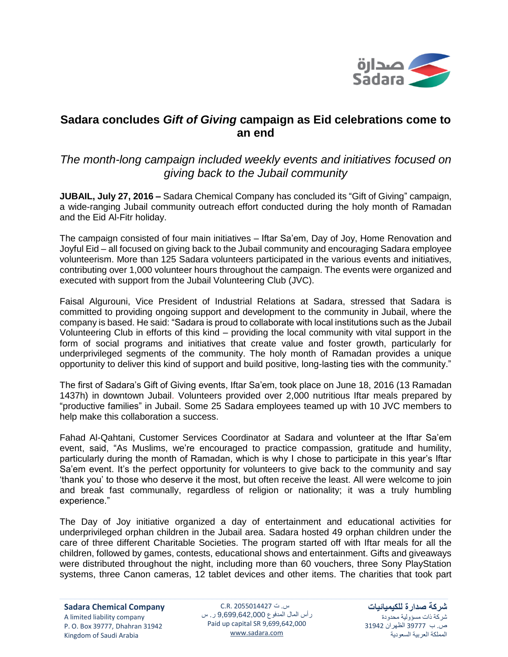

## **Sadara concludes** *Gift of Giving* **campaign as Eid celebrations come to an end**

## *The month-long campaign included weekly events and initiatives focused on giving back to the Jubail community*

**JUBAIL, July 27, 2016 –** Sadara Chemical Company has concluded its "Gift of Giving" campaign, a wide-ranging Jubail community outreach effort conducted during the holy month of Ramadan and the Eid Al-Fitr holiday.

The campaign consisted of four main initiatives – Iftar Sa'em, Day of Joy, Home Renovation and Joyful Eid – all focused on giving back to the Jubail community and encouraging Sadara employee volunteerism. More than 125 Sadara volunteers participated in the various events and initiatives, contributing over 1,000 volunteer hours throughout the campaign. The events were organized and executed with support from the Jubail Volunteering Club (JVC).

Faisal Algurouni, Vice President of Industrial Relations at Sadara, stressed that Sadara is committed to providing ongoing support and development to the community in Jubail, where the company is based. He said: "Sadara is proud to collaborate with local institutions such as the Jubail Volunteering Club in efforts of this kind – providing the local community with vital support in the form of social programs and initiatives that create value and foster growth, particularly for underprivileged segments of the community. The holy month of Ramadan provides a unique opportunity to deliver this kind of support and build positive, long-lasting ties with the community."

The first of Sadara's Gift of Giving events, Iftar Sa'em, took place on June 18, 2016 (13 Ramadan 1437h) in downtown Jubail. Volunteers provided over 2,000 nutritious Iftar meals prepared by "productive families" in Jubail. Some 25 Sadara employees teamed up with 10 JVC members to help make this collaboration a success.

Fahad Al-Qahtani, Customer Services Coordinator at Sadara and volunteer at the Iftar Sa'em event, said, "As Muslims, we're encouraged to practice compassion, gratitude and humility, particularly during the month of Ramadan, which is why I chose to participate in this year's Iftar Sa'em event. It's the perfect opportunity for volunteers to give back to the community and say 'thank you' to those who deserve it the most, but often receive the least. All were welcome to join and break fast communally, regardless of religion or nationality; it was a truly humbling experience."

The Day of Joy initiative organized a day of entertainment and educational activities for underprivileged orphan children in the Jubail area. Sadara hosted 49 orphan children under the care of three different Charitable Societies. The program started off with Iftar meals for all the children, followed by games, contests, educational shows and entertainment. Gifts and giveaways were distributed throughout the night, including more than 60 vouchers, three Sony PlayStation systems, three Canon cameras, 12 tablet devices and other items. The charities that took part

س. ت 2055014427 .R.C رأس المال المدفوع 9,699,642,000 ر. س Paid up capital SR 9,699,642,000 [www.sadara.com](http://www.sadara.com/)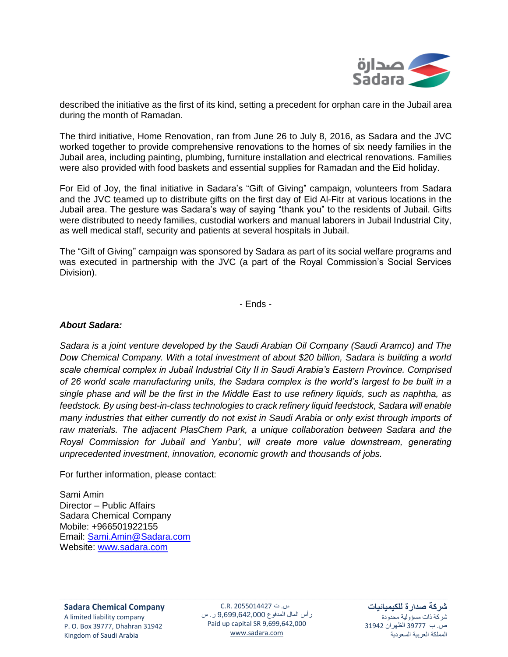

described the initiative as the first of its kind, setting a precedent for orphan care in the Jubail area during the month of Ramadan.

The third initiative, Home Renovation, ran from June 26 to July 8, 2016, as Sadara and the JVC worked together to provide comprehensive renovations to the homes of six needy families in the Jubail area, including painting, plumbing, furniture installation and electrical renovations. Families were also provided with food baskets and essential supplies for Ramadan and the Eid holiday.

For Eid of Joy, the final initiative in Sadara's "Gift of Giving" campaign, volunteers from Sadara and the JVC teamed up to distribute gifts on the first day of Eid Al-Fitr at various locations in the Jubail area. The gesture was Sadara's way of saying "thank you" to the residents of Jubail. Gifts were distributed to needy families, custodial workers and manual laborers in Jubail Industrial City, as well medical staff, security and patients at several hospitals in Jubail.

The "Gift of Giving" campaign was sponsored by Sadara as part of its social welfare programs and was executed in partnership with the JVC (a part of the Royal Commission's Social Services Division).

- Ends -

## *About Sadara:*

*Sadara is a joint venture developed by the Saudi Arabian Oil Company (Saudi Aramco) and The Dow Chemical Company. With a total investment of about \$20 billion, Sadara is building a world scale chemical complex in Jubail Industrial City II in Saudi Arabia's Eastern Province. Comprised of 26 world scale manufacturing units, the Sadara complex is the world's largest to be built in a single phase and will be the first in the Middle East to use refinery liquids, such as naphtha, as feedstock. By using best-in-class technologies to crack refinery liquid feedstock, Sadara will enable many industries that either currently do not exist in Saudi Arabia or only exist through imports of raw materials. The adjacent PlasChem Park, a unique collaboration between Sadara and the Royal Commission for Jubail and Yanbu', will create more value downstream, generating unprecedented investment, innovation, economic growth and thousands of jobs.* 

For further information, please contact:

Sami Amin Director – Public Affairs Sadara Chemical Company Mobile: +966501922155 Email: [Sami.Amin@Sadara.com](mailto:Sami.Amin@Sadara.com) Website: [www.sadara.com](http://www.sadara.com/)

س. ت 2055014427 .R.C رأس المال المدفوع 9,699,642,000 ر. س Paid up capital SR 9,699,642,000 [www.sadara.com](http://www.sadara.com/)

**شركة صدارة للكيميائيات** شركة ذات مسؤولية محدودة ص. ب 39777 الظهران 31942 المملكة العربية السعودية